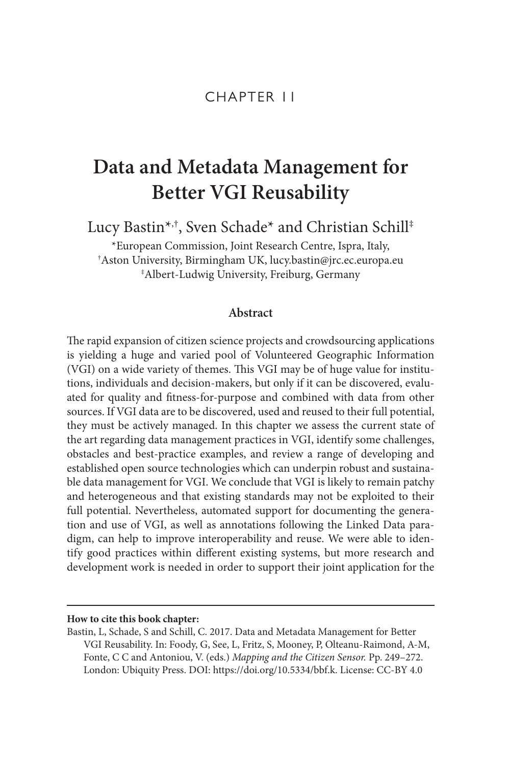# CHAPTER 11

# **Data and Metadata Management for Better VGI Reusability**

Lucy Bastin\*,†, Sven Schade\* and Christian Schill‡

\*European Commission, Joint Research Centre, Ispra, Italy, † Aston University, Birmingham UK, [lucy.bastin@jrc.ec.europa.eu](mailto:lucy.bastin@jrc.ec.europa.eu) ‡ Albert-Ludwig University, Freiburg, Germany

#### **Abstract**

The rapid expansion of citizen science projects and crowdsourcing applications is yielding a huge and varied pool of Volunteered Geographic Information (VGI) on a wide variety of themes. This VGI may be of huge value for institutions, individuals and decision-makers, but only if it can be discovered, evaluated for quality and fitness-for-purpose and combined with data from other sources. If VGI data are to be discovered, used and reused to their full potential, they must be actively managed. In this chapter we assess the current state of the art regarding data management practices in VGI, identify some challenges, obstacles and best-practice examples, and review a range of developing and established open source technologies which can underpin robust and sustainable data management for VGI. We conclude that VGI is likely to remain patchy and heterogeneous and that existing standards may not be exploited to their full potential. Nevertheless, automated support for documenting the generation and use of VGI, as well as annotations following the Linked Data paradigm, can help to improve interoperability and reuse. We were able to identify good practices within different existing systems, but more research and development work is needed in order to support their joint application for the

**How to cite this book chapter:** 

Bastin, L, Schade, S and Schill, C. 2017. Data and Metadata Management for Better VGI Reusability. In: Foody, G, See, L, Fritz, S, Mooney, P, Olteanu-Raimond, A-M, Fonte, C C and Antoniou, V. (eds.) *Mapping and the Citizen Sensor.* Pp. 249–272. London: Ubiquity Press. DOI: <https://doi.org/10.5334/bbf.k>. License: CC-BY 4.0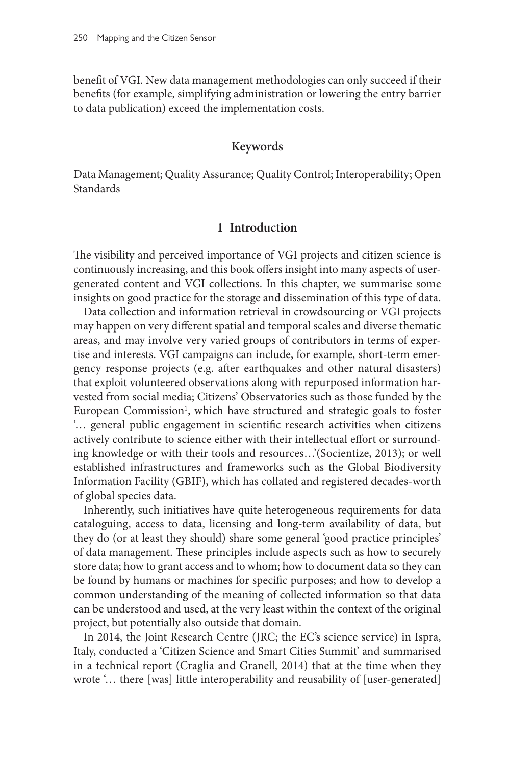benefit of VGI. New data management methodologies can only succeed if their benefits (for example, simplifying administration or lowering the entry barrier to data publication) exceed the implementation costs.

## **Keywords**

Data Management; Quality Assurance; Quality Control; Interoperability; Open Standards

## **1 Introduction**

The visibility and perceived importance of VGI projects and citizen science is continuously increasing, and this book offers insight into many aspects of usergenerated content and VGI collections. In this chapter, we summarise some insights on good practice for the storage and dissemination of this type of data.

Data collection and information retrieval in crowdsourcing or VGI projects may happen on very different spatial and temporal scales and diverse thematic areas, and may involve very varied groups of contributors in terms of expertise and interests. VGI campaigns can include, for example, short-term emergency response projects (e.g. after earthquakes and other natural disasters) that exploit volunteered observations along with repurposed information harvested from social media; Citizens' Observatories such as those funded by the European Commission<sup>1</sup>, which have structured and strategic goals to foster '… general public engagement in scientific research activities when citizens actively contribute to science either with their intellectual effort or surrounding knowledge or with their tools and resources…'(Socientize, 2013); or well established infrastructures and frameworks such as the Global Biodiversity Information Facility (GBIF), which has collated and registered decades-worth of global species data.

Inherently, such initiatives have quite heterogeneous requirements for data cataloguing, access to data, licensing and long-term availability of data, but they do (or at least they should) share some general 'good practice principles' of data management. These principles include aspects such as how to securely store data; how to grant access and to whom; how to document data so they can be found by humans or machines for specific purposes; and how to develop a common understanding of the meaning of collected information so that data can be understood and used, at the very least within the context of the original project, but potentially also outside that domain.

In 2014, the Joint Research Centre (JRC; the EC's science service) in Ispra, Italy, conducted a 'Citizen Science and Smart Cities Summit' and summarised in a technical report (Craglia and Granell, 2014) that at the time when they wrote '… there [was] little interoperability and reusability of [user-generated]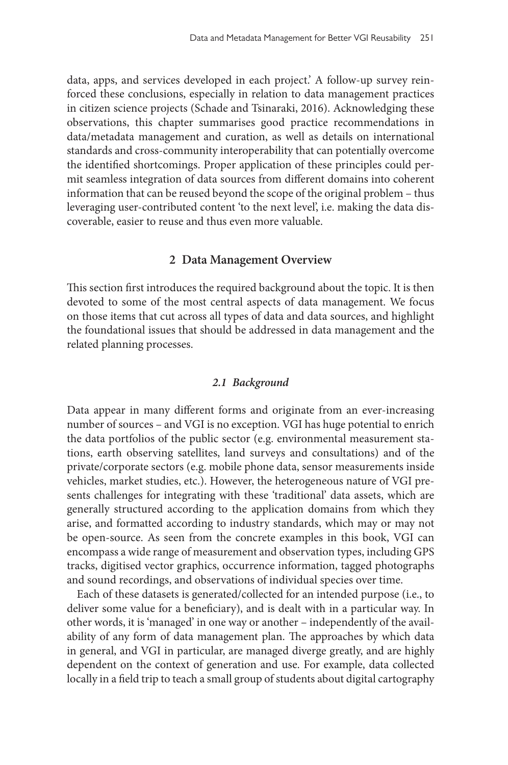data, apps, and services developed in each project.' A follow-up survey reinforced these conclusions, especially in relation to data management practices in citizen science projects (Schade and Tsinaraki, 2016). Acknowledging these observations, this chapter summarises good practice recommendations in data/metadata management and curation, as well as details on international standards and cross-community interoperability that can potentially overcome the identified shortcomings. Proper application of these principles could permit seamless integration of data sources from different domains into coherent information that can be reused beyond the scope of the original problem – thus leveraging user-contributed content 'to the next level', i.e. making the data discoverable, easier to reuse and thus even more valuable.

## **2 Data Management Overview**

This section first introduces the required background about the topic. It is then devoted to some of the most central aspects of data management. We focus on those items that cut across all types of data and data sources, and highlight the foundational issues that should be addressed in data management and the related planning processes.

#### *2.1 Background*

Data appear in many different forms and originate from an ever-increasing number of sources – and VGI is no exception. VGI has huge potential to enrich the data portfolios of the public sector (e.g. environmental measurement stations, earth observing satellites, land surveys and consultations) and of the private/corporate sectors (e.g. mobile phone data, sensor measurements inside vehicles, market studies, etc.). However, the heterogeneous nature of VGI presents challenges for integrating with these 'traditional' data assets, which are generally structured according to the application domains from which they arise, and formatted according to industry standards, which may or may not be open-source. As seen from the concrete examples in this book, VGI can encompass a wide range of measurement and observation types, including GPS tracks, digitised vector graphics, occurrence information, tagged photographs and sound recordings, and observations of individual species over time.

Each of these datasets is generated/collected for an intended purpose (i.e., to deliver some value for a beneficiary), and is dealt with in a particular way. In other words, it is 'managed' in one way or another – independently of the availability of any form of data management plan. The approaches by which data in general, and VGI in particular, are managed diverge greatly, and are highly dependent on the context of generation and use. For example, data collected locally in a field trip to teach a small group of students about digital cartography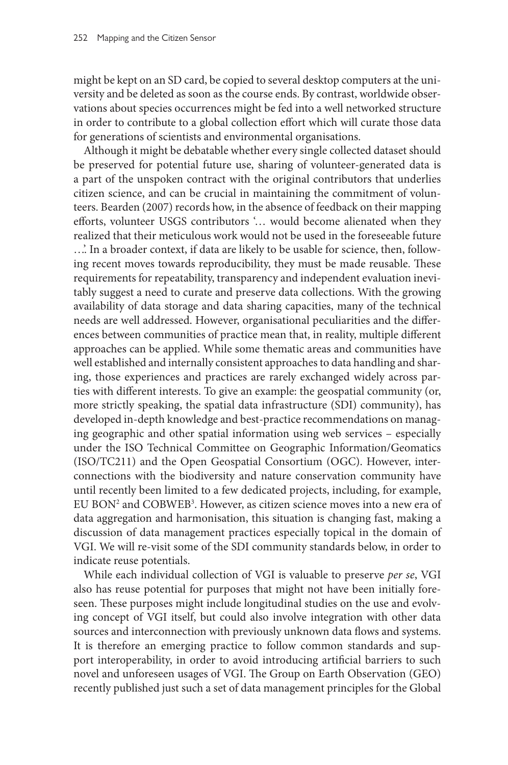might be kept on an SD card, be copied to several desktop computers at the university and be deleted as soon as the course ends. By contrast, worldwide observations about species occurrences might be fed into a well networked structure in order to contribute to a global collection effort which will curate those data for generations of scientists and environmental organisations.

Although it might be debatable whether every single collected dataset should be preserved for potential future use, sharing of volunteer-generated data is a part of the unspoken contract with the original contributors that underlies citizen science, and can be crucial in maintaining the commitment of volunteers. Bearden (2007) records how, in the absence of feedback on their mapping efforts, volunteer USGS contributors '… would become alienated when they realized that their meticulous work would not be used in the foreseeable future …'. In a broader context, if data are likely to be usable for science, then, following recent moves towards reproducibility, they must be made reusable. These requirements for repeatability, transparency and independent evaluation inevitably suggest a need to curate and preserve data collections. With the growing availability of data storage and data sharing capacities, many of the technical needs are well addressed. However, organisational peculiarities and the differences between communities of practice mean that, in reality, multiple different approaches can be applied. While some thematic areas and communities have well established and internally consistent approaches to data handling and sharing, those experiences and practices are rarely exchanged widely across parties with different interests. To give an example: the geospatial community (or, more strictly speaking, the spatial data infrastructure (SDI) community), has developed in-depth knowledge and best-practice recommendations on managing geographic and other spatial information using web services – especially under the ISO Technical Committee on Geographic Information/Geomatics (ISO/TC211) and the Open Geospatial Consortium (OGC). However, interconnections with the biodiversity and nature conservation community have until recently been limited to a few dedicated projects, including, for example, EU BON[2](#page-20-1) and COBWE[B3](#page-20-2) . However, as citizen science moves into a new era of data aggregation and harmonisation, this situation is changing fast, making a discussion of data management practices especially topical in the domain of VGI. We will re-visit some of the SDI community standards below, in order to indicate reuse potentials.

While each individual collection of VGI is valuable to preserve *per se*, VGI also has reuse potential for purposes that might not have been initially foreseen. These purposes might include longitudinal studies on the use and evolving concept of VGI itself, but could also involve integration with other data sources and interconnection with previously unknown data flows and systems. It is therefore an emerging practice to follow common standards and support interoperability, in order to avoid introducing artificial barriers to such novel and unforeseen usages of VGI. The Group on Earth Observation (GEO) recently published just such a set of data management principles for the Global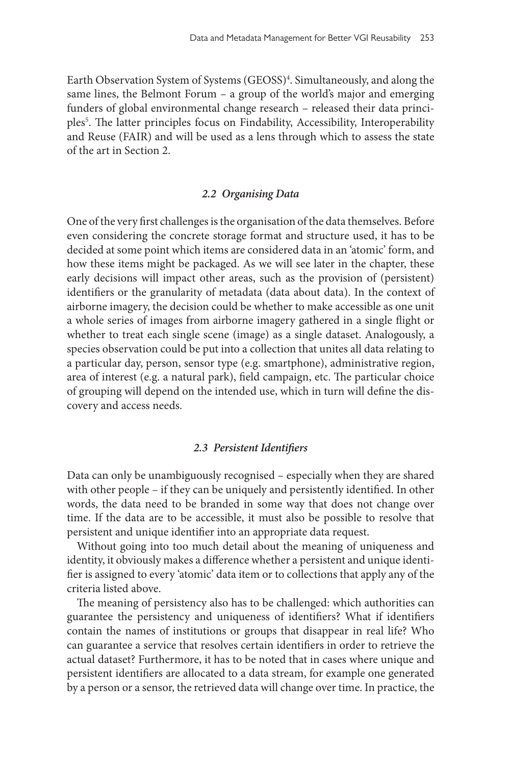Earth Observation System of Systems (GEOSS)<sup>4</sup>. Simultaneously, and along the same lines, the Belmont Forum – a group of the world's major and emerging funders of global environmental change research – released their data principles<sup>5</sup>. The latter principles focus on Findability, Accessibility, Interoperability and Reuse (FAIR) and will be used as a lens through which to assess the state of the art in Section 2.

#### *2.2 Organising Data*

One of the very first challenges is the organisation of the data themselves. Before even considering the concrete storage format and structure used, it has to be decided at some point which items are considered data in an 'atomic' form, and how these items might be packaged. As we will see later in the chapter, these early decisions will impact other areas, such as the provision of (persistent) identifiers or the granularity of metadata (data about data). In the context of airborne imagery, the decision could be whether to make accessible as one unit a whole series of images from airborne imagery gathered in a single flight or whether to treat each single scene (image) as a single dataset. Analogously, a species observation could be put into a collection that unites all data relating to a particular day, person, sensor type (e.g. smartphone), administrative region, area of interest (e.g. a natural park), field campaign, etc. The particular choice of grouping will depend on the intended use, which in turn will define the discovery and access needs.

#### *2.3 Persistent Identifiers*

Data can only be unambiguously recognised – especially when they are shared with other people – if they can be uniquely and persistently identified. In other words, the data need to be branded in some way that does not change over time. If the data are to be accessible, it must also be possible to resolve that persistent and unique identifier into an appropriate data request.

Without going into too much detail about the meaning of uniqueness and identity, it obviously makes a difference whether a persistent and unique identifier is assigned to every 'atomic' data item or to collections that apply any of the criteria listed above.

The meaning of persistency also has to be challenged: which authorities can guarantee the persistency and uniqueness of identifiers? What if identifiers contain the names of institutions or groups that disappear in real life? Who can guarantee a service that resolves certain identifiers in order to retrieve the actual dataset? Furthermore, it has to be noted that in cases where unique and persistent identifiers are allocated to a data stream, for example one generated by a person or a sensor, the retrieved data will change over time. In practice, the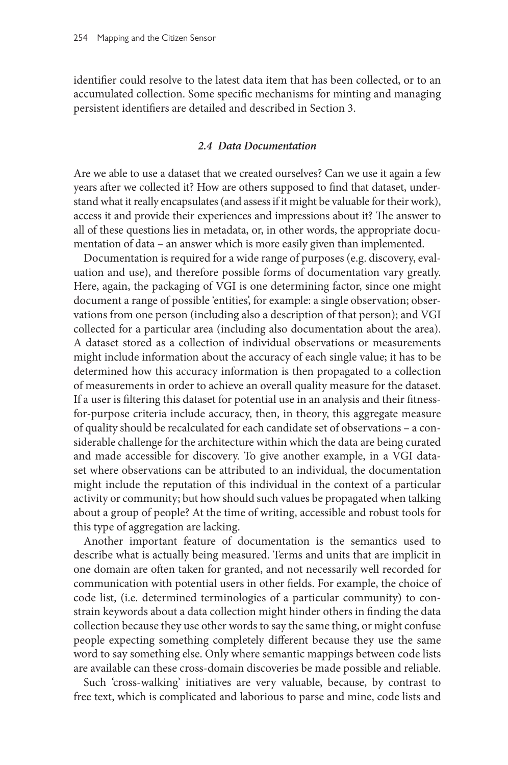identifier could resolve to the latest data item that has been collected, or to an accumulated collection. Some specific mechanisms for minting and managing persistent identifiers are detailed and described in Section 3.

#### *2.4 Data Documentation*

Are we able to use a dataset that we created ourselves? Can we use it again a few years after we collected it? How are others supposed to find that dataset, understand what it really encapsulates (and assess if it might be valuable for their work), access it and provide their experiences and impressions about it? The answer to all of these questions lies in metadata, or, in other words, the appropriate documentation of data – an answer which is more easily given than implemented.

Documentation is required for a wide range of purposes (e.g. discovery, evaluation and use), and therefore possible forms of documentation vary greatly. Here, again, the packaging of VGI is one determining factor, since one might document a range of possible 'entities', for example: a single observation; observations from one person (including also a description of that person); and VGI collected for a particular area (including also documentation about the area). A dataset stored as a collection of individual observations or measurements might include information about the accuracy of each single value; it has to be determined how this accuracy information is then propagated to a collection of measurements in order to achieve an overall quality measure for the dataset. If a user is filtering this dataset for potential use in an analysis and their fitnessfor-purpose criteria include accuracy, then, in theory, this aggregate measure of quality should be recalculated for each candidate set of observations – a considerable challenge for the architecture within which the data are being curated and made accessible for discovery. To give another example, in a VGI dataset where observations can be attributed to an individual, the documentation might include the reputation of this individual in the context of a particular activity or community; but how should such values be propagated when talking about a group of people? At the time of writing, accessible and robust tools for this type of aggregation are lacking.

Another important feature of documentation is the semantics used to describe what is actually being measured. Terms and units that are implicit in one domain are often taken for granted, and not necessarily well recorded for communication with potential users in other fields. For example, the choice of code list, (i.e. determined terminologies of a particular community) to constrain keywords about a data collection might hinder others in finding the data collection because they use other words to say the same thing, or might confuse people expecting something completely different because they use the same word to say something else. Only where semantic mappings between code lists are available can these cross-domain discoveries be made possible and reliable.

Such 'cross-walking' initiatives are very valuable, because, by contrast to free text, which is complicated and laborious to parse and mine, code lists and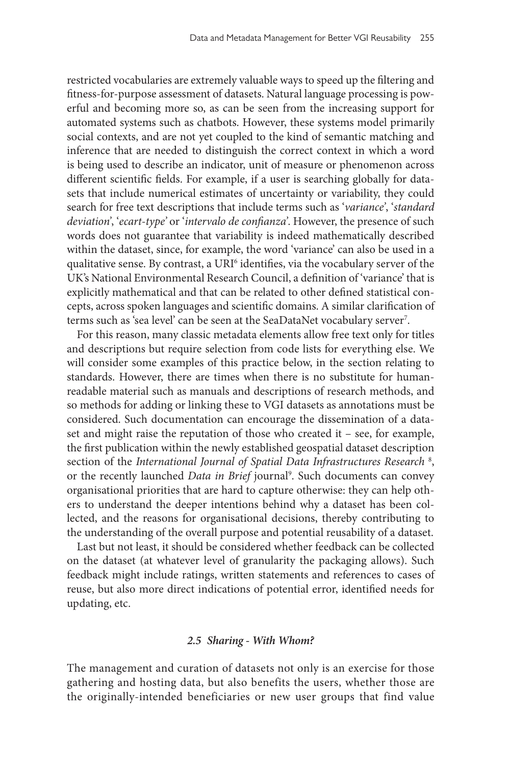restricted vocabularies are extremely valuable ways to speed up the filtering and fitness-for-purpose assessment of datasets. Natural language processing is powerful and becoming more so, as can be seen from the increasing support for automated systems such as chatbots. However, these systems model primarily social contexts, and are not yet coupled to the kind of semantic matching and inference that are needed to distinguish the correct context in which a word is being used to describe an indicator, unit of measure or phenomenon across different scientific fields. For example, if a user is searching globally for datasets that include numerical estimates of uncertainty or variability, they could search for free text descriptions that include terms such as '*variance'*, '*standard deviation'*, '*ecart-type'* or '*intervalo de confianza'*. However, the presence of such words does not guarantee that variability is indeed mathematically described within the dataset, since, for example, the word 'variance' can also be used in a qualitative sense. By contrast, a URI<sup>[6](#page-20-5)</sup> identifies, via the vocabulary server of the UK's National Environmental Research Council, a definition of 'variance' that is explicitly mathematical and that can be related to other defined statistical concepts, across spoken languages and scientific domains. A similar clarification of terms such as 'sea level' can be seen at the SeaDataNet vocabulary server<sup>[7](#page-20-6)</sup>.

For this reason, many classic metadata elements allow free text only for titles and descriptions but require selection from code lists for everything else. We will consider some examples of this practice below, in the section relating to standards. However, there are times when there is no substitute for humanreadable material such as manuals and descriptions of research methods, and so methods for adding or linking these to VGI datasets as annotations must be considered. Such documentation can encourage the dissemination of a dataset and might raise the reputation of those who created it – see, for example, the first publication within the newly established geospatial dataset description section of the *International Journal of Spatial Data Infrastructures Research* [8](#page-20-7) , or the recently launched *Data in Brief* journal<sup>[9](#page-20-8)</sup>. Such documents can convey organisational priorities that are hard to capture otherwise: they can help others to understand the deeper intentions behind why a dataset has been collected, and the reasons for organisational decisions, thereby contributing to the understanding of the overall purpose and potential reusability of a dataset.

Last but not least, it should be considered whether feedback can be collected on the dataset (at whatever level of granularity the packaging allows). Such feedback might include ratings, written statements and references to cases of reuse, but also more direct indications of potential error, identified needs for updating, etc.

#### *2.5 Sharing - With Whom?*

The management and curation of datasets not only is an exercise for those gathering and hosting data, but also benefits the users, whether those are the originally-intended beneficiaries or new user groups that find value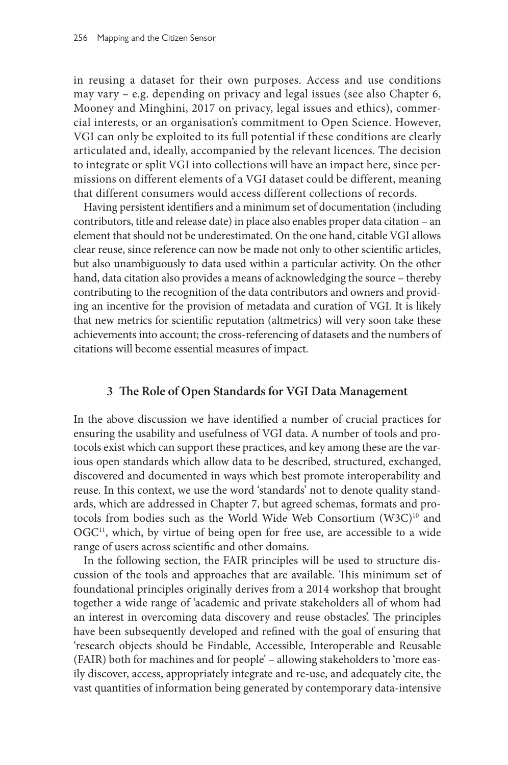in reusing a dataset for their own purposes. Access and use conditions may vary – e.g. depending on privacy and legal issues (see also Chapter 6, Mooney and Minghini, 2017 on privacy, legal issues and ethics), commercial interests, or an organisation's commitment to Open Science. However, VGI can only be exploited to its full potential if these conditions are clearly articulated and, ideally, accompanied by the relevant licences. The decision to integrate or split VGI into collections will have an impact here, since permissions on different elements of a VGI dataset could be different, meaning that different consumers would access different collections of records.

Having persistent identifiers and a minimum set of documentation (including contributors, title and release date) in place also enables proper data citation – an element that should not be underestimated. On the one hand, citable VGI allows clear reuse, since reference can now be made not only to other scientific articles, but also unambiguously to data used within a particular activity. On the other hand, data citation also provides a means of acknowledging the source – thereby contributing to the recognition of the data contributors and owners and providing an incentive for the provision of metadata and curation of VGI. It is likely that new metrics for scientific reputation (altmetrics) will very soon take these achievements into account; the cross-referencing of datasets and the numbers of citations will become essential measures of impact.

## **3 The Role of Open Standards for VGI Data Management**

In the above discussion we have identified a number of crucial practices for ensuring the usability and usefulness of VGI data. A number of tools and protocols exist which can support these practices, and key among these are the various open standards which allow data to be described, structured, exchanged, discovered and documented in ways which best promote interoperability and reuse. In this context, we use the word 'standards' not to denote quality standards, which are addressed in Chapter 7, but agreed schemas, formats and pro-tocols from bodies such as the World Wide Web Consortium (W3C)<sup>[10](#page-20-9)</sup> and OGC<sup>[11](#page-20-10)</sup>, which, by virtue of being open for free use, are accessible to a wide range of users across scientific and other domains.

In the following section, the FAIR principles will be used to structure discussion of the tools and approaches that are available. This minimum set of foundational principles originally derives from a 2014 workshop that brought together a wide range of 'academic and private stakeholders all of whom had an interest in overcoming data discovery and reuse obstacles'. The principles have been subsequently developed and refined with the goal of ensuring that 'research objects should be Findable, Accessible, Interoperable and Reusable (FAIR) both for machines and for people' – allowing stakeholders to 'more easily discover, access, appropriately integrate and re-use, and adequately cite, the vast quantities of information being generated by contemporary data-intensive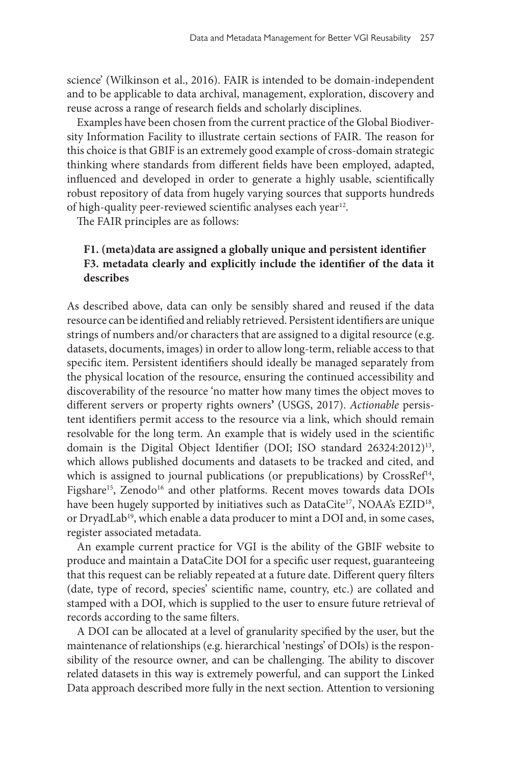science' (Wilkinson et al., 2016). FAIR is intended to be domain-independent and to be applicable to data archival, management, exploration, discovery and reuse across a range of research fields and scholarly disciplines.

Examples have been chosen from the current practice of the Global Biodiversity Information Facility to illustrate certain sections of FAIR. The reason for this choice is that GBIF is an extremely good example of cross-domain strategic thinking where standards from different fields have been employed, adapted, influenced and developed in order to generate a highly usable, scientifically robust repository of data from hugely varying sources that supports hundreds of high-quality peer-reviewed scientific analyses each year<sup>[12](#page-20-11)</sup>.

The FAIR principles are as follows:

# **F1. (meta)data are assigned a globally unique and persistent identifier F3. metadata clearly and explicitly include the identifier of the data it describes**

As described above, data can only be sensibly shared and reused if the data resource can be identified and reliably retrieved. Persistent identifiers are unique strings of numbers and/or characters that are assigned to a digital resource (e.g. datasets, documents, images) in order to allow long-term, reliable access to that specific item. Persistent identifiers should ideally be managed separately from the physical location of the resource, ensuring the continued accessibility and discoverability of the resource 'no matter how many times the object moves to different servers or property rights owners**'** (USGS, 2017). *Actionable* persistent identifiers permit access to the resource via a link, which should remain resolvable for the long term. An example that is widely used in the scientific domain is the Digital Object Identifier (DOI; ISO standard 26324:2012)<sup>[13](#page-20-12)</sup>, which allows published documents and datasets to be tracked and cited, and which is assigned to journal publications (or prepublications) by CrossRef<sup>[14](#page-20-13)</sup>, Figshare<sup>15</sup>, Zenodo<sup>16</sup> [and other platforms](http://blog.impactstory.org/impact-challenge-data-repository/). Recent moves towards data DOIs have been hugely supported by initiatives such as DataCite<sup>17</sup>, NOAA's EZID<sup>[18](#page-20-15)</sup>, or DryadLab<sup>[19](#page-20-16)</sup>, which enable a data producer to mint a DOI and, in some cases, register associated metadata.

An example current practice for VGI is the ability of the GBIF website to produce and maintain a DataCite DOI for a specific user request, guaranteeing that this request can be reliably repeated at a future date. Different query filters (date, type of record, species' scientific name, country, etc.) are collated and stamped with a DOI, which is supplied to the user to ensure future retrieval of records according to the same filters.

A DOI can be allocated at a level of granularity specified by the user, but the maintenance of relationships (e.g. hierarchical 'nestings' of DOIs) is the responsibility of the resource owner, and can be challenging. The ability to discover related datasets in this way is extremely powerful, and can support the Linked Data approach described more fully in the next section. Attention to versioning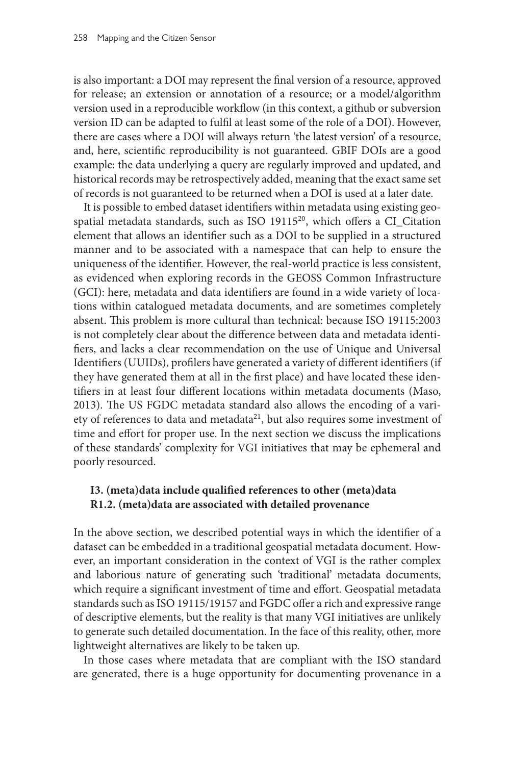is also important: a DOI may represent the final version of a resource, approved for release; an extension or annotation of a resource; or a model/algorithm version used in a reproducible workflow (in this context, a github or subversion version ID can be adapted to fulfil at least some of the role of a DOI). However, there are cases where a DOI will always return 'the latest version' of a resource, and, here, scientific reproducibility is not guaranteed. GBIF DOIs are a good example: the data underlying a query are regularly improved and updated, and historical records may be retrospectively added, meaning that the exact same set of records is not guaranteed to be returned when a DOI is used at a later date.

It is possible to embed dataset identifiers within metadata using existing geo-spatial metadata standards, such as ISO 19115<sup>[20](#page-20-17)</sup>, which offers a CI Citation element that allows an identifier such as a DOI to be supplied in a structured manner and to be associated with a namespace that can help to ensure the uniqueness of the identifier. However, the real-world practice is less consistent, as evidenced when exploring records in the GEOSS Common Infrastructure (GCI): here, metadata and data identifiers are found in a wide variety of locations within catalogued metadata documents, and are sometimes completely absent. This problem is more cultural than technical: because ISO 19115:2003 is not completely clear about the difference between data and metadata identifiers, and lacks a clear recommendation on the use of Unique and Universal Identifiers (UUIDs), profilers have generated a variety of different identifiers (if they have generated them at all in the first place) and have located these identifiers in at least four different locations within metadata documents (Maso, 2013). The US FGDC metadata standard also allows the encoding of a variety of references to data and metadata $21$ , but also requires some investment of time and effort for proper use. In the next section we discuss the implications of these standards' complexity for VGI initiatives that may be ephemeral and poorly resourced.

## **I3. (meta)data include qualified references to other (meta)data R1.2. (meta)data are associated with detailed provenance**

In the above section, we described potential ways in which the identifier of a dataset can be embedded in a traditional geospatial metadata document. However, an important consideration in the context of VGI is the rather complex and laborious nature of generating such 'traditional' metadata documents, which require a significant investment of time and effort. Geospatial metadata standards such as ISO 19115/19157 and FGDC offer a rich and expressive range of descriptive elements, but the reality is that many VGI initiatives are unlikely to generate such detailed documentation. In the face of this reality, other, more lightweight alternatives are likely to be taken up.

In those cases where metadata that are compliant with the ISO standard are generated, there is a huge opportunity for documenting provenance in a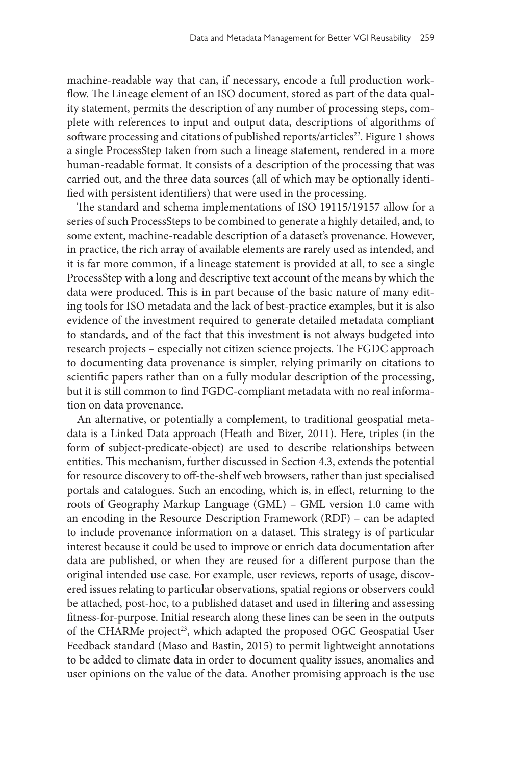machine-readable way that can, if necessary, encode a full production workflow. The Lineage element of an ISO document, stored as part of the data quality statement, permits the description of any number of processing steps, complete with references to input and output data, descriptions of algorithms of software processing and citations of published reports/articles<sup>22</sup>. [Figure 1](#page-11-0) shows a single ProcessStep taken from such a lineage statement, rendered in a more human-readable format. It consists of a description of the processing that was carried out, and the three data sources (all of which may be optionally identified with persistent identifiers) that were used in the processing.

The standard and schema implementations of ISO 19115/19157 allow for a series of such ProcessSteps to be combined to generate a highly detailed, and, to some extent, machine-readable description of a dataset's provenance. However, in practice, the rich array of available elements are rarely used as intended, and it is far more common, if a lineage statement is provided at all, to see a single ProcessStep with a long and descriptive text account of the means by which the data were produced. This is in part because of the basic nature of many editing tools for ISO metadata and the lack of best-practice examples, but it is also evidence of the investment required to generate detailed metadata compliant to standards, and of the fact that this investment is not always budgeted into research projects – especially not citizen science projects. The FGDC approach to documenting data provenance is simpler, relying primarily on citations to scientific papers rather than on a fully modular description of the processing, but it is still common to find FGDC-compliant metadata with no real information on data provenance.

An alternative, or potentially a complement, to traditional geospatial metadata is a Linked Data approach (Heath and Bizer, 2011). Here, triples (in the form of subject-predicate-object) are used to describe relationships between entities. This mechanism, further discussed in Section 4.3, extends the potential for resource discovery to off-the-shelf web browsers, rather than just specialised portals and catalogues. Such an encoding, which is, in effect, returning to the roots of Geography Markup Language (GML) – GML version 1.0 came with an encoding in the Resource Description Framework (RDF) – can be adapted to include provenance information on a dataset. This strategy is of particular interest because it could be used to improve or enrich data documentation after data are published, or when they are reused for a different purpose than the original intended use case. For example, user reviews, reports of usage, discovered issues relating to particular observations, spatial regions or observers could be attached, post-hoc, to a published dataset and used in filtering and assessing fitness-for-purpose. Initial research along these lines can be seen in the outputs of the CHARMe project<sup>23</sup>, which adapted the proposed OGC Geospatial User Feedback standard (Maso and Bastin, 2015) to permit lightweight annotations to be added to climate data in order to document quality issues, anomalies and user opinions on the value of the data. Another promising approach is the use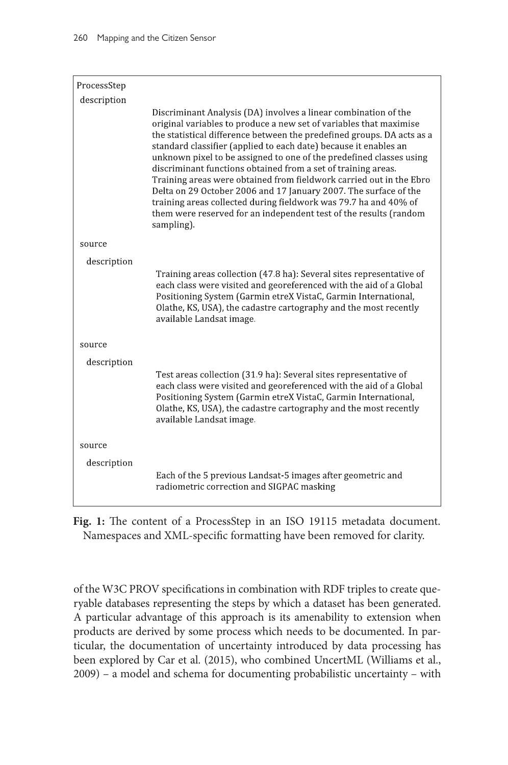| ProcessStep |                                                                                                                                                                                                                                                                                                                                                                                                                                                                                                                                                                                                                                                                                                                               |
|-------------|-------------------------------------------------------------------------------------------------------------------------------------------------------------------------------------------------------------------------------------------------------------------------------------------------------------------------------------------------------------------------------------------------------------------------------------------------------------------------------------------------------------------------------------------------------------------------------------------------------------------------------------------------------------------------------------------------------------------------------|
| description |                                                                                                                                                                                                                                                                                                                                                                                                                                                                                                                                                                                                                                                                                                                               |
|             | Discriminant Analysis (DA) involves a linear combination of the<br>original variables to produce a new set of variables that maximise<br>the statistical difference between the predefined groups. DA acts as a<br>standard classifier (applied to each date) because it enables an<br>unknown pixel to be assigned to one of the predefined classes using<br>discriminant functions obtained from a set of training areas.<br>Training areas were obtained from fieldwork carried out in the Ebro<br>Delta on 29 October 2006 and 17 January 2007. The surface of the<br>training areas collected during fieldwork was 79.7 ha and 40% of<br>them were reserved for an independent test of the results (random<br>sampling). |
| source      |                                                                                                                                                                                                                                                                                                                                                                                                                                                                                                                                                                                                                                                                                                                               |
| description |                                                                                                                                                                                                                                                                                                                                                                                                                                                                                                                                                                                                                                                                                                                               |
|             | Training areas collection (47.8 ha): Several sites representative of<br>each class were visited and georeferenced with the aid of a Global<br>Positioning System (Garmin etreX VistaC, Garmin International,<br>Olathe, KS, USA), the cadastre cartography and the most recently<br>available Landsat image.                                                                                                                                                                                                                                                                                                                                                                                                                  |
| source      |                                                                                                                                                                                                                                                                                                                                                                                                                                                                                                                                                                                                                                                                                                                               |
| description | Test areas collection (31.9 ha): Several sites representative of<br>each class were visited and georeferenced with the aid of a Global<br>Positioning System (Garmin etreX VistaC, Garmin International,<br>Olathe, KS, USA), the cadastre cartography and the most recently<br>available Landsat image.                                                                                                                                                                                                                                                                                                                                                                                                                      |
| source      |                                                                                                                                                                                                                                                                                                                                                                                                                                                                                                                                                                                                                                                                                                                               |
| description |                                                                                                                                                                                                                                                                                                                                                                                                                                                                                                                                                                                                                                                                                                                               |
|             | Each of the 5 previous Landsat-5 images after geometric and<br>radiometric correction and SIGPAC masking                                                                                                                                                                                                                                                                                                                                                                                                                                                                                                                                                                                                                      |

<span id="page-11-0"></span>**Fig. 1:** The content of a ProcessStep in an ISO 19115 metadata document. Namespaces and XML-specific formatting have been removed for clarity.

of the W3C PROV specifications in combination with RDF triples to create queryable databases representing the steps by which a dataset has been generated. A particular advantage of this approach is its amenability to extension when products are derived by some process which needs to be documented. In particular, the documentation of uncertainty introduced by data processing has been explored by Car et al. (2015), who combined UncertML (Williams et al., 2009) – a model and schema for documenting probabilistic uncertainty – with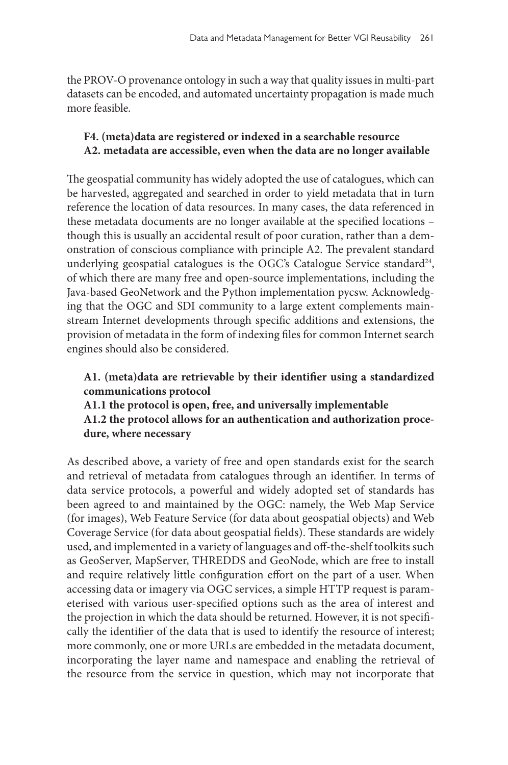the PROV-O provenance ontology in such a way that quality issues in multi-part datasets can be encoded, and automated uncertainty propagation is made much more feasible.

# **F4. (meta)data are registered or indexed in a searchable resource A2. metadata are accessible, even when the data are no longer available**

The geospatial community has widely adopted the use of catalogues, which can be harvested, aggregated and searched in order to yield metadata that in turn reference the location of data resources. In many cases, the data referenced in these metadata documents are no longer available at the specified locations – though this is usually an accidental result of poor curation, rather than a demonstration of conscious compliance with principle A2. The prevalent standard underlying geospatial catalogues is the OGC's Catalogue Service standard<sup>[24](#page-20-21)</sup>, of which there are many free and open-source implementations, including the Java-based GeoNetwork and the Python implementation pycsw. Acknowledging that the OGC and SDI community to a large extent complements mainstream Internet developments through specific additions and extensions, the provision of metadata in the form of indexing files for common Internet search engines should also be considered.

# **A1. (meta)data are retrievable by their identifier using a standardized communications protocol**

**A1.1 the protocol is open, free, and universally implementable A1.2 the protocol allows for an authentication and authorization procedure, where necessary**

As described above, a variety of free and open standards exist for the search and retrieval of metadata from catalogues through an identifier. In terms of data service protocols, a powerful and widely adopted set of standards has been agreed to and maintained by the OGC: namely, the Web Map Service (for images), Web Feature Service (for data about geospatial objects) and Web Coverage Service (for data about geospatial fields). These standards are widely used, and implemented in a variety of languages and off-the-shelf toolkits such as GeoServer, MapServer, THREDDS and GeoNode, which are free to install and require relatively little configuration effort on the part of a user. When accessing data or imagery via OGC services, a simple HTTP request is parameterised with various user-specified options such as the area of interest and the projection in which the data should be returned. However, it is not specifically the identifier of the data that is used to identify the resource of interest; more commonly, one or more URLs are embedded in the metadata document, incorporating the layer name and namespace and enabling the retrieval of the resource from the service in question, which may not incorporate that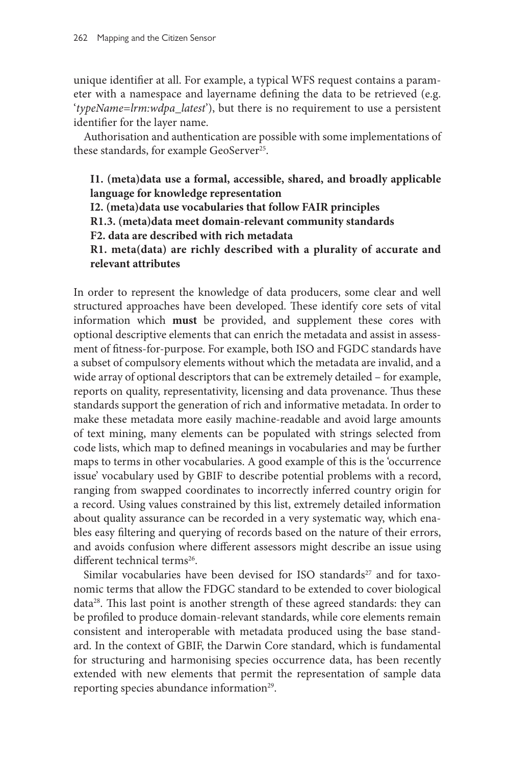unique identifier at all. For example, a typical WFS request contains a parameter with a namespace and layername defining the data to be retrieved (e.g. '*typeName=lrm:wdpa\_latest*'), but there is no requirement to use a persistent identifier for the layer name.

Authorisation and authentication are possible with some implementations of these standards, for example GeoServer<sup>25</sup>.

**I1. (meta)data use a formal, accessible, shared, and broadly applicable language for knowledge representation**

**I2. (meta)data use vocabularies that follow FAIR principles**

**R1.3. (meta)data meet domain-relevant community standards**

**F2. data are described with rich metadata**

**R1. meta(data) are richly described with a plurality of accurate and relevant attributes**

In order to represent the knowledge of data producers, some clear and well structured approaches have been developed. These identify core sets of vital information which **must** be provided, and supplement these cores with optional descriptive elements that can enrich the metadata and assist in assessment of fitness-for-purpose. For example, both ISO and FGDC standards have a subset of compulsory elements without which the metadata are invalid, and a wide array of optional descriptors that can be extremely detailed – for example, reports on quality, representativity, licensing and data provenance. Thus these standards support the generation of rich and informative metadata. In order to make these metadata more easily machine-readable and avoid large amounts of text mining, many elements can be populated with strings selected from code lists, which map to defined meanings in vocabularies and may be further maps to terms in other vocabularies. A good example of this is the 'occurrence issue' vocabulary used by GBIF to describe potential problems with a record, ranging from swapped coordinates to incorrectly inferred country origin for a record. Using values constrained by this list, extremely detailed information about quality assurance can be recorded in a very systematic way, which enables easy filtering and querying of records based on the nature of their errors, and avoids confusion where different assessors might describe an issue using different technical terms<sup>[26](#page-20-23)</sup>.

Similar vocabularies have been devised for ISO standards $2<sup>27</sup>$  $2<sup>27</sup>$  $2<sup>27</sup>$  and for taxonomic terms that allow the FDGC standard to be extended to cover biological dat[a28.](#page-21-0) This last point is another strength of these agreed standards: they can be profiled to produce domain-relevant standards, while core elements remain consistent and interoperable with metadata produced using the base standard. In the context of GBIF, the Darwin Core standard, which is fundamental for structuring and harmonising species occurrence data, has been recently extended with new elements that permit the representation of sample data reporting species abundance information<sup>29</sup>.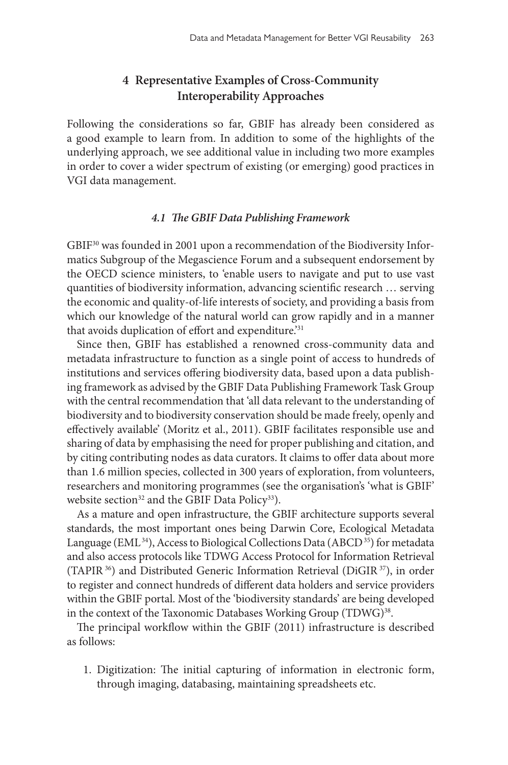# **4 Representative Examples of Cross-Community Interoperability Approaches**

Following the considerations so far, GBIF has already been considered as a good example to learn from. In addition to some of the highlights of the underlying approach, we see additional value in including two more examples in order to cover a wider spectrum of existing (or emerging) good practices in VGI data management.

#### *4.1 The GBIF Data Publishing Framework*

GBI[F30](#page-21-2) was founded in 2001 upon a recommendation of the Biodiversity Informatics Subgroup of the Megascience Forum and a subsequent endorsement by the OECD science ministers, to 'enable users to navigate and put to use vast quantities of biodiversity information, advancing scientific research … serving the economic and quality-of-life interests of society, and providing a basis from which our knowledge of the natural world can grow rapidly and in a manner that avoids duplication of effort and expenditure.['31](#page-21-3)

Since then, GBIF has established a renowned cross-community data and metadata infrastructure to function as a single point of access to hundreds of institutions and services offering biodiversity data, based upon a data publishing framework as advised by the GBIF Data Publishing Framework Task Group with the central recommendation that 'all data relevant to the understanding of biodiversity and to biodiversity conservation should be made freely, openly and effectively available' (Moritz et al., 2011). GBIF facilitates responsible use and sharing of data by emphasising the need for proper publishing and citation, and by citing contributing nodes as data curators. It claims to offer data about more than 1.6 million species, collected in 300 years of exploration, from volunteers, researchers and monitoring programmes (see the organisation's 'what is GBIF' website section<sup>32</sup> and the GBIF Data Policy<sup>33</sup>).

As a mature and open infrastructure, the GBIF architecture supports several standards, the most important ones being Darwin Core, Ecological Metadata Language (EML<sup>34</sup>), Access to Biological Collections Data (ABCD<sup>[35](#page-21-7)</sup>) for metadata and also access protocols like TDWG Access Protocol for Information Retrieval (TAPIR [36](#page-21-8)) and Distributed Generic Information Retrieval (DiGIR [37](#page-21-9)), in order to register and connect hundreds of different data holders and service providers within the GBIF portal. Most of the 'biodiversity standards' are being developed in the context of the Taxonomic Databases Working Group (TDWG)<sup>38</sup>.

The principal workflow within the GBIF (2011) infrastructure is described as follows:

1. Digitization: The initial capturing of information in electronic form, through imaging, databasing, maintaining spreadsheets etc.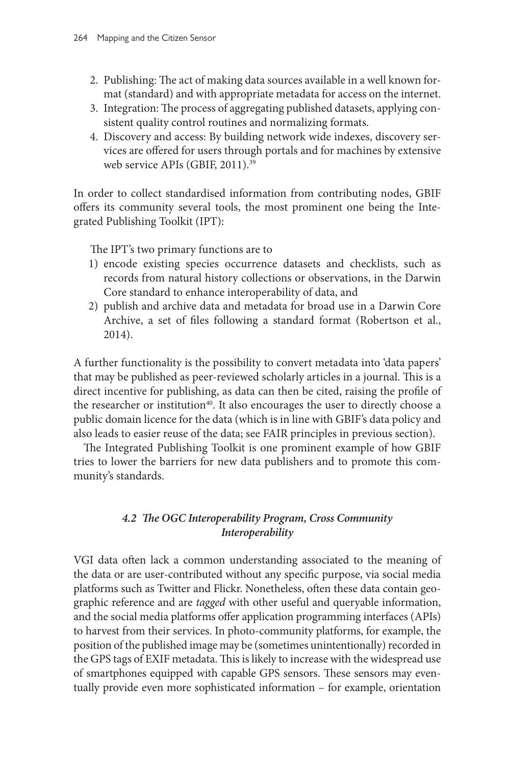- 2. Publishing: The act of making data sources available in a well known format (standard) and with appropriate metadata for access on the internet.
- 3. Integration: The process of aggregating published datasets, applying consistent quality control routines and normalizing formats.
- 4. Discovery and access: By building network wide indexes, discovery services are offered for users through portals and for machines by extensive web service APIs (GBIF, 2011).<sup>39</sup>

In order to collect standardised information from contributing nodes, GBIF offers its community several tools, the most prominent one being the Integrated Publishing Toolkit (IPT):

The IPT's two primary functions are to

- 1) encode existing species occurrence datasets and checklists, such as records from natural history collections or observations, in the Darwin Core standard to enhance interoperability of data, and
- 2) publish and archive data and metadata for broad use in a Darwin Core Archive, a set of files following a standard format (Robertson et al., 2014).

A further functionality is the possibility to convert metadata into 'data papers' that may be published as peer-reviewed scholarly articles in a journal. This is a direct incentive for publishing, as data can then be cited, raising the profile of the researcher or institution<sup>[40](#page-21-12)</sup>. It also encourages the user to directly choose a public domain licence for the data (which is in line with GBIF's data policy and also leads to easier reuse of the data; see FAIR principles in previous section).

The Integrated Publishing Toolkit is one prominent example of how GBIF tries to lower the barriers for new data publishers and to promote this community's standards.

# *4.2 The OGC Interoperability Program, Cross Community Interoperability*

VGI data often lack a common understanding associated to the meaning of the data or are user-contributed without any specific purpose, via social media platforms such as Twitter and Flickr. Nonetheless, often these data contain geographic reference and are *tagged* with other useful and queryable information, and the social media platforms offer application programming interfaces (APIs) to harvest from their services. In photo-community platforms, for example, the position of the published image may be (sometimes unintentionally) recorded in the GPS tags of EXIF metadata. This is likely to increase with the widespread use of smartphones equipped with capable GPS sensors. These sensors may eventually provide even more sophisticated information – for example, orientation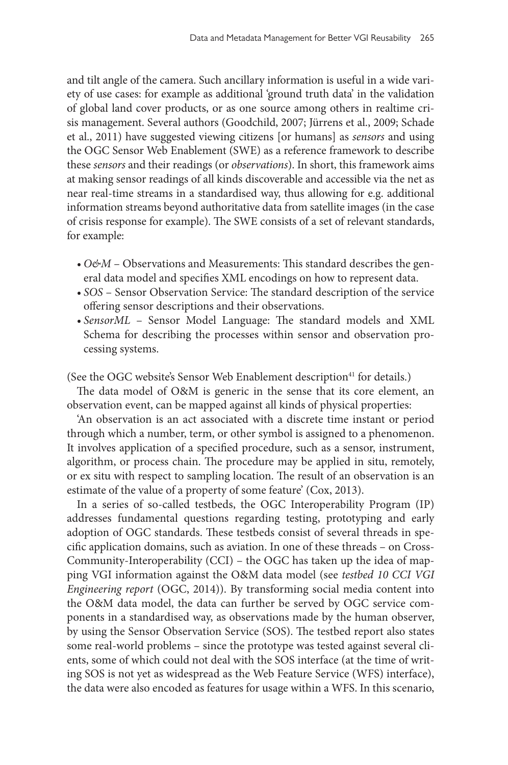and tilt angle of the camera. Such ancillary information is useful in a wide variety of use cases: for example as additional 'ground truth data' in the validation of global land cover products, or as one source among others in realtime crisis management. Several authors (Goodchild, 2007; Jürrens et al., 2009; Schade et al., 2011) have suggested viewing citizens [or humans] as *sensors* and using the OGC Sensor Web Enablement (SWE) as a reference framework to describe these *sensors* and their readings (or *observations*). In short, this framework aims at making sensor readings of all kinds discoverable and accessible via the net as near real-time streams in a standardised way, thus allowing for e.g. additional information streams beyond authoritative data from satellite images (in the case of crisis response for example). The SWE consists of a set of relevant standards, for example:

- *O&M* Observations and Measurements: This standard describes the general data model and specifies XML encodings on how to represent data.
- *SOS* Sensor Observation Service: The standard description of the service offering sensor descriptions and their observations.
- *SensorML* – Sensor Model Language: The standard models and XML Schema for describing the processes within sensor and observation processing systems.

(See [t](http://www.opengeospatial.org/ogc/markets-technologies/swe)he OGC website's Sensor Web Enablement description<sup>[41](#page-21-13)</sup> for details.)

The data model of O&M is generic in the sense that its core element, an observation event, can be mapped against all kinds of physical properties:

'An observation is an act associated with a discrete time instant or period through which a number, term, or other symbol is assigned to a phenomenon. It involves application of a specified procedure, such as a sensor, instrument, algorithm, or process chain. The procedure may be applied in situ, remotely, or ex situ with respect to sampling location. The result of an observation is an estimate of the value of a property of some feature' (Cox, 2013).

In a series of so-called testbeds, the OGC Interoperability Program (IP) addresses fundamental questions regarding testing, prototyping and early adoption of OGC standards. These testbeds consist of several threads in specific application domains, such as aviation. In one of these threads – on Cross-Community-Interoperability (CCI) – the OGC has taken up the idea of mapping VGI information against the O&M data model (see *testbed 10 CCI VGI Engineering report* (OGC, 2014)). By transforming social media content into the O&M data model, the data can further be served by OGC service components in a standardised way, as observations made by the human observer, by using the Sensor Observation Service (SOS). The testbed report also states some real-world problems – since the prototype was tested against several clients, some of which could not deal with the SOS interface (at the time of writing SOS is not yet as widespread as the Web Feature Service (WFS) interface), the data were also encoded as features for usage within a WFS. In this scenario,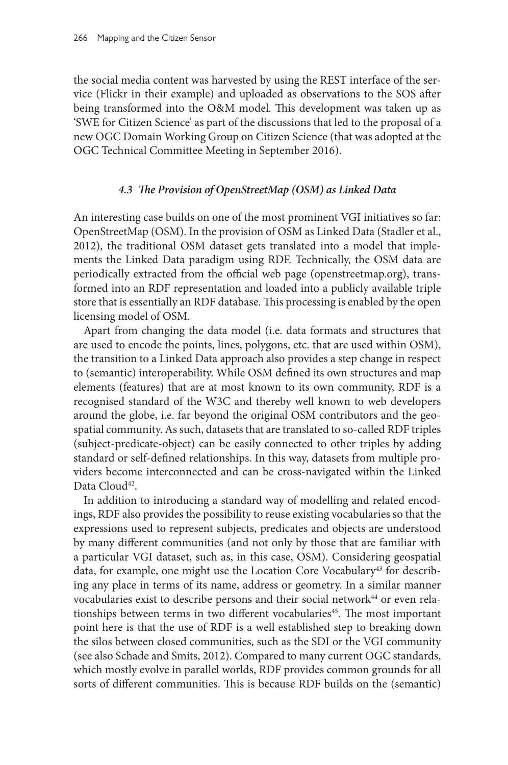the social media content was harvested by using the REST interface of the service (Flickr in their example) and uploaded as observations to the SOS after being transformed into the O&M model. This development was taken up as 'SWE for Citizen Science' as part of the discussions that led to the proposal of a new OGC Domain Working Group on Citizen Science (that was adopted at the OGC Technical Committee Meeting in September 2016).

#### *4.3 The Provision of OpenStreetMap (OSM) as Linked Data*

An interesting case builds on one of the most prominent VGI initiatives so far: OpenStreetMap (OSM). In the provision of OSM as Linked Data (Stadler et al., 2012), the traditional OSM dataset gets translated into a model that implements the Linked Data paradigm using RDF. Technically, the OSM data are periodically extracted from the official web page (openstreetmap.org), transformed into an RDF representation and loaded into a publicly available triple store that is essentially an RDF database. This processing is enabled by the open licensing model of OSM.

Apart from changing the data model (i.e. data formats and structures that are used to encode the points, lines, polygons, etc. that are used within OSM), the transition to a Linked Data approach also provides a step change in respect to (semantic) interoperability. While OSM defined its own structures and map elements (features) that are at most known to its own community, RDF is a recognised standard of the W3C and thereby well known to web developers around the globe, i.e. far beyond the original OSM contributors and the geospatial community. As such, datasets that are translated to so-called RDF triples (subject-predicate-object) can be easily connected to other triples by adding standard or self-defined relationships. In this way, datasets from multiple providers become interconnected and can be cross-navigated within the Linked Data Cloud<sup>[42](#page-21-14)</sup>.

In addition to introducing a standard way of modelling and related encodings, RDF also provides the possibility to reuse existing vocabularies so that the expressions used to represent subjects, predicates and objects are understood by many different communities (and not only by those that are familiar with a particular VGI dataset, such as, in this case, OSM). Considering geospatial data, for example, one might use the Location Core Vocabulary<sup>[43](#page-21-15)</sup> for describing any place in terms of its name, address or geometry. In a similar manner vocabularies exist to describe persons and their social network<sup>[44](#page-21-16)</sup> or even relationships between terms in two different vocabularies<sup>45</sup>. The most important point here is that the use of RDF is a well established step to breaking down the silos between closed communities, such as the SDI or the VGI community (see also Schade and Smits, 2012). Compared to many current OGC standards, which mostly evolve in parallel worlds, RDF provides common grounds for all sorts of different communities. This is because RDF builds on the (semantic)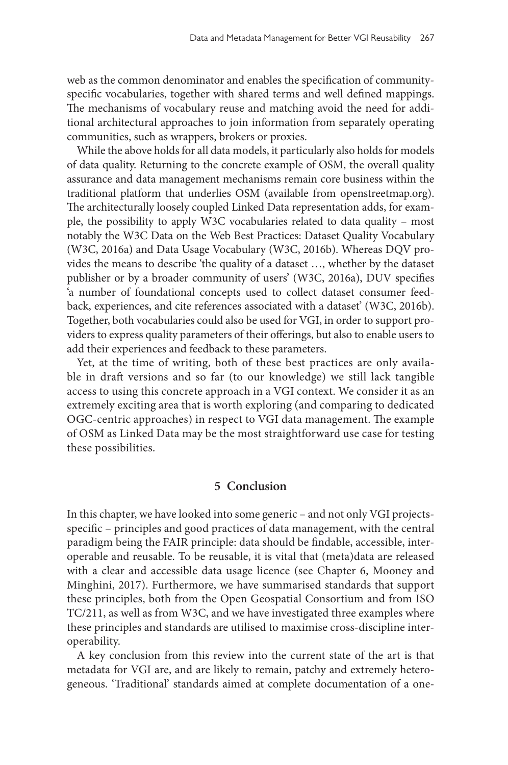web as the common denominator and enables the specification of communityspecific vocabularies, together with shared terms and well defined mappings. The mechanisms of vocabulary reuse and matching avoid the need for additional architectural approaches to join information from separately operating communities, such as wrappers, brokers or proxies.

While the above holds for all data models, it particularly also holds for models of data quality. Returning to the concrete example of OSM, the overall quality assurance and data management mechanisms remain core business within the traditional platform that underlies OSM (available from openstreetmap.org). The architecturally loosely coupled Linked Data representation adds, for example, the possibility to apply W3C vocabularies related to data quality – most notably the W3C Data on the Web Best Practices: Dataset Quality Vocabulary (W3C, 2016a) and Data Usage Vocabulary (W3C, 2016b). Whereas DQV provides the means to describe 'the quality of a dataset …, whether by the dataset publisher or by a broader community of users' (W3C, 2016a), DUV specifies 'a number of foundational concepts used to collect dataset consumer feedback, experiences, and cite references associated with a dataset' (W3C, 2016b). Together, both vocabularies could also be used for VGI, in order to support providers to express quality parameters of their offerings, but also to enable users to add their experiences and feedback to these parameters.

Yet, at the time of writing, both of these best practices are only available in draft versions and so far (to our knowledge) we still lack tangible access to using this concrete approach in a VGI context. We consider it as an extremely exciting area that is worth exploring (and comparing to dedicated OGC-centric approaches) in respect to VGI data management. The example of OSM as Linked Data may be the most straightforward use case for testing these possibilities.

## **5 Conclusion**

In this chapter, we have looked into some generic – and not only VGI projectsspecific – principles and good practices of data management, with the central paradigm being the FAIR principle: data should be findable, accessible, interoperable and reusable. To be reusable, it is vital that (meta)data are released with a clear and accessible data usage licence (see Chapter 6, Mooney and Minghini, 2017). Furthermore, we have summarised standards that support these principles, both from the Open Geospatial Consortium and from ISO TC/211, as well as from W3C, and we have investigated three examples where these principles and standards are utilised to maximise cross-discipline interoperability.

A key conclusion from this review into the current state of the art is that metadata for VGI are, and are likely to remain, patchy and extremely heterogeneous. 'Traditional' standards aimed at complete documentation of a one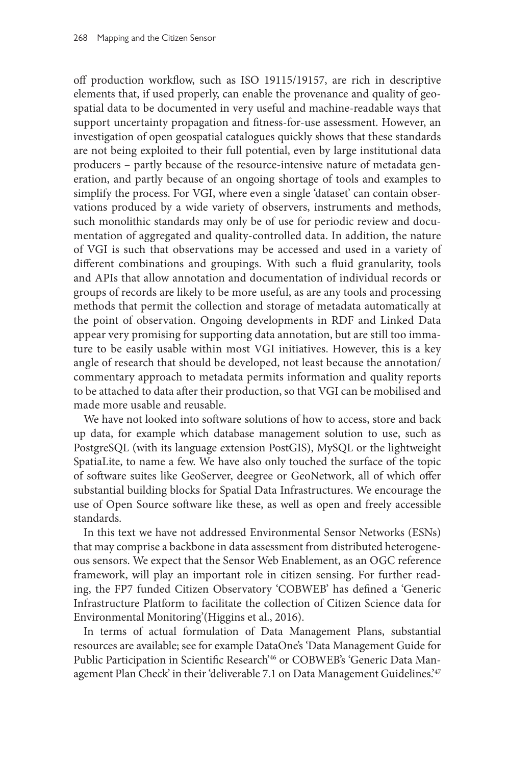off production workflow, such as ISO 19115/19157, are rich in descriptive elements that, if used properly, can enable the provenance and quality of geospatial data to be documented in very useful and machine-readable ways that support uncertainty propagation and fitness-for-use assessment. However, an investigation of open geospatial catalogues quickly shows that these standards are not being exploited to their full potential, even by large institutional data producers – partly because of the resource-intensive nature of metadata generation, and partly because of an ongoing shortage of tools and examples to simplify the process. For VGI, where even a single 'dataset' can contain observations produced by a wide variety of observers, instruments and methods, such monolithic standards may only be of use for periodic review and documentation of aggregated and quality-controlled data. In addition, the nature of VGI is such that observations may be accessed and used in a variety of different combinations and groupings. With such a fluid granularity, tools and APIs that allow annotation and documentation of individual records or groups of records are likely to be more useful, as are any tools and processing methods that permit the collection and storage of metadata automatically at the point of observation. Ongoing developments in RDF and Linked Data appear very promising for supporting data annotation, but are still too immature to be easily usable within most VGI initiatives. However, this is a key angle of research that should be developed, not least because the annotation/ commentary approach to metadata permits information and quality reports to be attached to data after their production, so that VGI can be mobilised and made more usable and reusable.

We have not looked into software solutions of how to access, store and back up data, for example which database management solution to use, such as PostgreSQL (with its language extension PostGIS), MySQL or the lightweight SpatiaLite, to name a few. We have also only touched the surface of the topic of software suites like GeoServer, deegree or GeoNetwork, all of which offer substantial building blocks for Spatial Data Infrastructures. We encourage the use of Open Source software like these, as well as open and freely accessible standards.

In this text we have not addressed Environmental Sensor Networks (ESNs) that may comprise a backbone in data assessment from distributed heterogeneous sensors. We expect that the Sensor Web Enablement, as an OGC reference framework, will play an important role in citizen sensing. For further reading, the FP7 funded Citizen Observatory 'COBWEB' has defined a 'Generic Infrastructure Platform to facilitate the collection of Citizen Science data for Environmental Monitoring'(Higgins et al., 2016).

In terms of actual formulation of Data Management Plans, substantial resources are available; see for example DataOne's 'Data Management Guide for Public Participation in Scientific Research'[46](#page-21-18) or COBWEB's 'Generic Data Man-agement Plan Check' in their 'deliverable 7.1 on Data Management Guidelines.<sup>2[47](#page-21-19)</sup>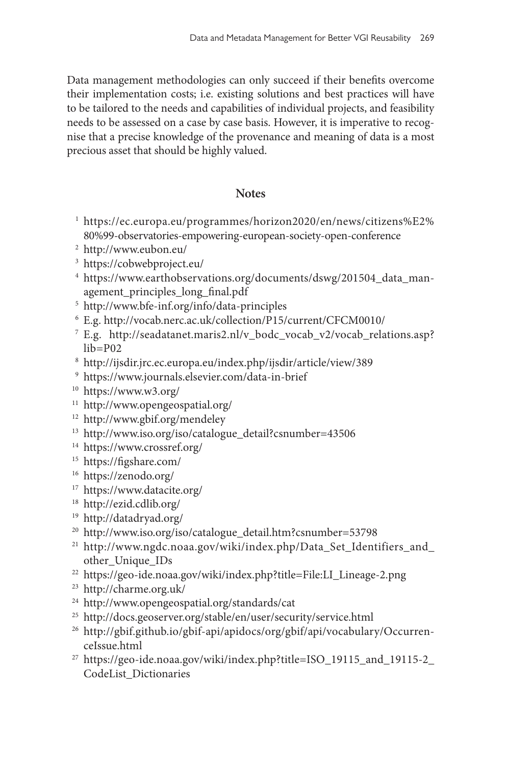Data management methodologies can only succeed if their benefits overcome their implementation costs; i.e. existing solutions and best practices will have to be tailored to the needs and capabilities of individual projects, and feasibility needs to be assessed on a case by case basis. However, it is imperative to recognise that a precise knowledge of the provenance and meaning of data is a most precious asset that should be highly valued.

# **Notes**

- <span id="page-20-0"></span> [https://ec.europa.eu/programmes/horizon2020/en/news/citizens%E2%](https://ec.europa.eu/programmes/horizon2020/en/news/citizens%E2%80%99-observatories-empowering-european-society-open-conference) [80%99-observatories-empowering-european-society-open-conference](https://ec.europa.eu/programmes/horizon2020/en/news/citizens%E2%80%99-observatories-empowering-european-society-open-conference)
- <span id="page-20-1"></span><http://www.eubon.eu/>
- <span id="page-20-2"></span><https://cobwebproject.eu/>
- <span id="page-20-3"></span> [https://www.earthobservations.org/documents/dswg/201504\\_data\\_man](https://www.earthobservations.org/documents/dswg/201504_data_management_principles_long_final.pdf)[agement\\_principles\\_long\\_final.pdf](https://www.earthobservations.org/documents/dswg/201504_data_management_principles_long_final.pdf)
- <span id="page-20-4"></span><http://www.bfe-inf.org/info/data-principles>
- <span id="page-20-5"></span>E.g.<http://vocab.nerc.ac.uk/collection/P15/current/CFCM0010/>
- <span id="page-20-6"></span> E.g. [http://seadatanet.maris2.nl/v\\_bodc\\_vocab\\_v2/vocab\\_relations.asp?](http://seadatanet.maris2.nl/v_bodc_vocab_v2/vocab_relations.asp?lib=P02) [lib=P02](http://seadatanet.maris2.nl/v_bodc_vocab_v2/vocab_relations.asp?lib=P02)
- <span id="page-20-7"></span><http://ijsdir.jrc.ec.europa.eu/index.php/ijsdir/article/view/389>
- <span id="page-20-8"></span><https://www.journals.elsevier.com/data-in-brief>
- <span id="page-20-9"></span><https://www.w3.org/>
- <span id="page-20-10"></span><http://www.opengeospatial.org/>
- <span id="page-20-11"></span><http://www.gbif.org/mendeley>
- <span id="page-20-12"></span>[http://www.iso.org/iso/catalogue\\_detail?csnumber=43506](http://www.iso.org/iso/catalogue_detail?csnumber=43506)
- <span id="page-20-13"></span><https://www.crossref.org/>
- <span id="page-20-14"></span><https://figshare.com/>
- <https://zenodo.org/>
- <https://www.datacite.org/>
- <span id="page-20-15"></span><http://ezid.cdlib.org/>
- <span id="page-20-16"></span><http://datadryad.org/>
- <span id="page-20-17"></span>[http://www.iso.org/iso/catalogue\\_detail.htm?csnumber=53798](http://www.iso.org/iso/catalogue_detail.htm?csnumber=53798)
- <span id="page-20-18"></span><sup>21</sup> [http://www.ngdc.noaa.gov/wiki/index.php/Data\\_Set\\_Identifiers\\_and\\_](http://www.ngdc.noaa.gov/wiki/index.php/Data_Set_Identifiers_and_other_Unique_IDs) other Unique IDs
- <span id="page-20-19"></span>[https://geo-ide.noaa.gov/wiki/index.php?title=File:LI\\_Lineage-2.png](https://geo-ide.noaa.gov/wiki/index.php?title=File:LI_Lineage-2.png)
- <span id="page-20-20"></span><http://charme.org.uk/>
- <span id="page-20-21"></span><http://www.opengeospatial.org/standards/cat>
- <span id="page-20-22"></span><http://docs.geoserver.org/stable/en/user/security/service.html>
- <span id="page-20-23"></span> [http://gbif.github.io/gbif-api/apidocs/org/gbif/api/vocabulary/Occurren](http://gbif.github.io/gbif-api/apidocs/org/gbif/api/vocabulary/OccurrenceIssue.html)[ceIssue.html](http://gbif.github.io/gbif-api/apidocs/org/gbif/api/vocabulary/OccurrenceIssue.html)
- <span id="page-20-24"></span> [https://geo-ide.noaa.gov/wiki/index.php?title=ISO\\_19115\\_and\\_19115-2\\_](https://geo-ide.noaa.gov/wiki/index.php?title=ISO_19115_and_19115-2_CodeList_Dictionaries) [CodeList\\_Dictionaries](https://geo-ide.noaa.gov/wiki/index.php?title=ISO_19115_and_19115-2_CodeList_Dictionaries)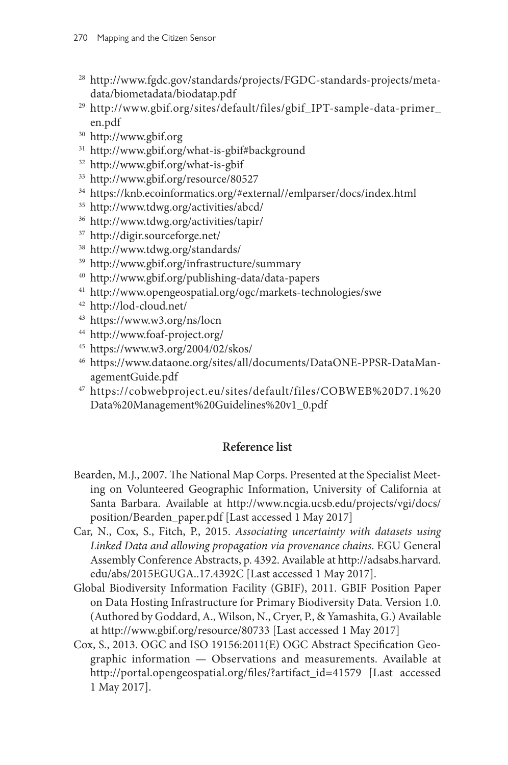- <span id="page-21-0"></span><sup>28</sup> [http://www.fgdc.gov/standards/projects/FGDC-standards-projects/meta](http://www.fgdc.gov/standards/projects/FGDC-standards-projects/metadata/biometadata/biodatap.pdf)[data/biometadata/biodatap.pdf](http://www.fgdc.gov/standards/projects/FGDC-standards-projects/metadata/biometadata/biodatap.pdf)
- <span id="page-21-1"></span><sup>29</sup> [http://www.gbif.org/sites/default/files/gbif\\_IPT-sample-data-primer\\_](http://www.gbif.org/sites/default/files/gbif_IPT-sample-data-primer_en.pdf) [en.pdf](http://www.gbif.org/sites/default/files/gbif_IPT-sample-data-primer_en.pdf)
- <span id="page-21-2"></span><sup>30</sup> <http://www.gbif.org>
- <span id="page-21-3"></span><sup>31</sup> <http://www.gbif.org/what-is-gbif#background>
- <span id="page-21-4"></span><sup>32</sup> <http://www.gbif.org/what-is-gbif>
- <span id="page-21-5"></span><sup>33</sup> <http://www.gbif.org/resource/80527>
- <span id="page-21-6"></span><sup>34</sup> <https://knb.ecoinformatics.org/#external//emlparser/docs/index.html>
- <span id="page-21-7"></span><sup>35</sup> <http://www.tdwg.org/activities/abcd/>
- <span id="page-21-8"></span><sup>36</sup> <http://www.tdwg.org/activities/tapir/>
- <span id="page-21-9"></span><sup>37</sup> <http://digir.sourceforge.net/>
- <span id="page-21-10"></span><sup>38</sup> <http://www.tdwg.org/standards/>
- <span id="page-21-11"></span><sup>39</sup> <http://www.gbif.org/infrastructure/summary>
- <span id="page-21-12"></span><sup>40</sup> <http://www.gbif.org/publishing-data/data-papers>
- <span id="page-21-13"></span><sup>41</sup> <http://www.opengeospatial.org/ogc/markets-technologies/swe>
- <span id="page-21-14"></span><sup>42</sup> <http://lod-cloud.net/>
- <span id="page-21-15"></span><sup>43</sup> <https://www.w3.org/ns/locn>
- <span id="page-21-16"></span><sup>44</sup> <http://www.foaf-project.org/>
- <span id="page-21-17"></span><sup>45</sup> <https://www.w3.org/2004/02/skos/>
- <span id="page-21-18"></span><sup>46</sup> [https://www.dataone.org/sites/all/documents/DataONE-PPSR-DataMan](https://www.dataone.org/sites/all/documents/DataONE-PPSR-DataManagementGuide.pdf)[agementGuide.pdf](https://www.dataone.org/sites/all/documents/DataONE-PPSR-DataManagementGuide.pdf)
- <span id="page-21-19"></span><sup>47</sup> [https://cobwebproject.eu/sites/default/files/COBWEB%20D7.1%20](https://cobwebproject.eu/sites/default/files/COBWEB D7.1 Data Management Guidelines v1_0.pdf) [Data%20Management%20Guidelines%20v1\\_0.pdf](https://cobwebproject.eu/sites/default/files/COBWEB D7.1 Data Management Guidelines v1_0.pdf)

# **Reference list**

- Bearden, M.J., 2007. The National Map Corps. Presented at the Specialist Meeting on Volunteered Geographic Information, University of California at Santa Barbara. Available at [http://www.ncgia.ucsb.edu/projects/vgi/docs/](http://www.ncgia.ucsb.edu/projects/vgi/docs/position/Bearden_paper.pdf) [position/Bearden\\_paper.pdf](http://www.ncgia.ucsb.edu/projects/vgi/docs/position/Bearden_paper.pdf) [Last accessed 1 May 2017]
- Car, N., Cox, S., Fitch, P., 2015. *Associating uncertainty with datasets using Linked Data and allowing propagation via provenance chains*. EGU General Assembly Conference Abstracts, p. 4392. Available at [http://adsabs.harvard.](http://adsabs.harvard.edu/abs/2015EGUGA..17.4392C) [edu/abs/2015EGUGA..17.4392C](http://adsabs.harvard.edu/abs/2015EGUGA..17.4392C) [Last accessed 1 May 2017].
- Global Biodiversity Information Facility (GBIF), 2011. GBIF Position Paper on Data Hosting Infrastructure for Primary Biodiversity Data. Version 1.0. (Authored by Goddard, A., Wilson, N., Cryer, P., & Yamashita, G.) Available at<http://www.gbif.org/resource/80733>[Last accessed 1 May 2017]
- Cox, S., 2013. OGC and ISO 19156:2011(E) OGC Abstract Specification Geographic information — Observations and measurements. Available at [http://portal.opengeospatial.org/files/?artifact\\_id=41579](http://portal.opengeospatial.org/files/?artifact_id=41579) [Last accessed 1 May 2017].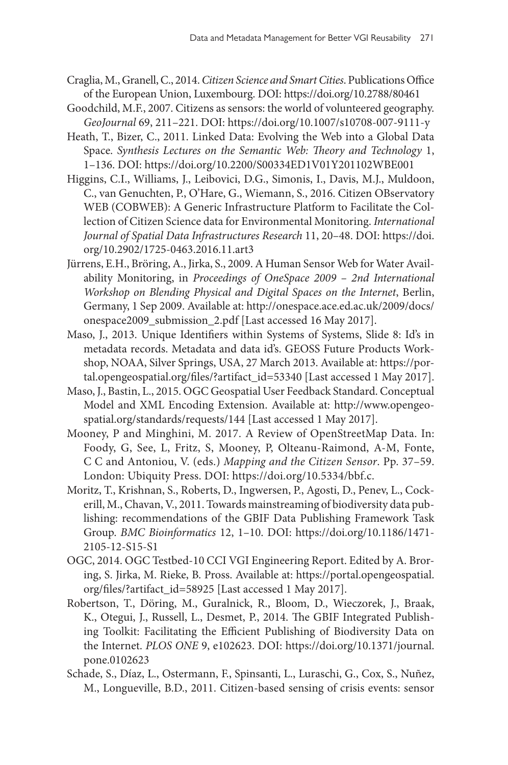- Craglia, M., Granell, C., 2014. *Citizen Science and Smart Cities*. Publications Office of the European Union, Luxembourg. DOI:<https://doi.org/10.2788/80461>
- Goodchild, M.F., 2007. Citizens as sensors: the world of volunteered geography. *GeoJournal* 69, 211–221. DOI:<https://doi.org/10.1007/s10708-007-9111-y>
- Heath, T., Bizer, C., 2011. Linked Data: Evolving the Web into a Global Data Space. *Synthesis Lectures on the Semantic Web: Theory and Technology* 1, 1–136. DOI: <https://doi.org/10.2200/S00334ED1V01Y201102WBE001>
- Higgins, C.I., Williams, J., Leibovici, D.G., Simonis, I., Davis, M.J., Muldoon, C., van Genuchten, P., O'Hare, G., Wiemann, S., 2016. Citizen OBservatory WEB (COBWEB): A Generic Infrastructure Platform to Facilitate the Collection of Citizen Science data for Environmental Monitoring. *International Journal of Spatial Data Infrastructures Research* 11, 20–48. DOI: [https://doi.](https://doi.org/10.2902/1725-0463.2016.11.art3) [org/10.2902/1725-0463.2016.11.art3](https://doi.org/10.2902/1725-0463.2016.11.art3)
- Jürrens, E.H., Bröring, A., Jirka, S., 2009. A Human Sensor Web for Water Availability Monitoring, in *Proceedings of OneSpace 2009 – 2nd International Workshop on Blending Physical and Digital Spaces on the Internet*, Berlin, Germany, 1 Sep 2009. Available at: [http://onespace.ace.ed.ac.uk/2009/docs/](http://onespace.ace.ed.ac.uk/2009/docs/onespace2009_submission_2.pdf) [onespace2009\\_submission\\_2.pdf](http://onespace.ace.ed.ac.uk/2009/docs/onespace2009_submission_2.pdf) [Last accessed 16 May 2017].
- Maso, J., 2013. Unique Identifiers within Systems of Systems, Slide 8: Id's in metadata records. Metadata and data id's. GEOSS Future Products Workshop, NOAA, Silver Springs, USA, 27 March 2013. Available at: [https://por](https://portal.opengeospatial.org/files/?artifact_id=53340)[tal.opengeospatial.org/files/?artifact\\_id=53340](https://portal.opengeospatial.org/files/?artifact_id=53340) [Last accessed 1 May 2017].
- Maso, J., Bastin, L., 2015. OGC Geospatial User Feedback Standard. Conceptual Model and XML Encoding Extension. Available at: [http://www.opengeo](http://www.opengeospatial.org/standards/requests/144)[spatial.org/standards/requests/144](http://www.opengeospatial.org/standards/requests/144) [Last accessed 1 May 2017].
- Mooney, P and Minghini, M. 2017. A Review of OpenStreetMap Data. In: Foody, G, See, L, Fritz, S, Mooney, P, Olteanu-Raimond, A-M, Fonte, C C and Antoniou, V. (eds.) *Mapping and the Citizen Sensor*. Pp. 37–59. London: Ubiquity Press. DOI: <https://doi.org/10.5334/bbf.c>.
- Moritz, T., Krishnan, S., Roberts, D., Ingwersen, P., Agosti, D., Penev, L., Cockerill, M., Chavan, V., 2011. Towards mainstreaming of biodiversity data publishing: recommendations of the GBIF Data Publishing Framework Task Group. *BMC Bioinformatics* 12, 1–10. DOI: [https://doi.org/10.1186/1471-](https://doi.org/10.1186/1471-2105-12-S15-S1) [2105-12-S15-S1](https://doi.org/10.1186/1471-2105-12-S15-S1)
- OGC, 2014. OGC Testbed-10 CCI VGI Engineering Report. Edited by A. Broring, S. Jirka, M. Rieke, B. Pross. Available at: [https://portal.opengeospatial.](https://portal.opengeospatial.org/files/?artifact_id=58925) [org/files/?artifact\\_id=58925](https://portal.opengeospatial.org/files/?artifact_id=58925) [Last accessed 1 May 2017].
- Robertson, T., Döring, M., Guralnick, R., Bloom, D., Wieczorek, J., Braak, K., Otegui, J., Russell, L., Desmet, P., 2014. The GBIF Integrated Publishing Toolkit: Facilitating the Efficient Publishing of Biodiversity Data on the Internet. *PLOS ONE* 9, e102623. DOI: [https://doi.org/10.1371/journal.](https://doi.org/10.1371/journal.pone.0102623) [pone.0102623](https://doi.org/10.1371/journal.pone.0102623)
- Schade, S., Díaz, L., Ostermann, F., Spinsanti, L., Luraschi, G., Cox, S., Nuñez, M., Longueville, B.D., 2011. Citizen-based sensing of crisis events: sensor